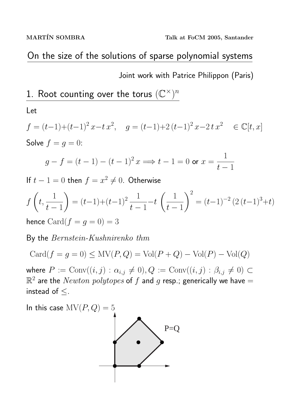# On the size of the solutions of sparse polynomial systems

Joint work with Patrice Philippon (Paris)

1. Root counting over the torus  $(\mathbb{C}^{\times})^n$ 

Let

$$
f = (t-1)+(t-1)^2 x - t x^2, \quad g = (t-1)+2(t-1)^2 x - 2t x^2 \quad \in \mathbb{C}[t, x]
$$
  
Solve  $f = g = 0$ :

$$
g - f = (t - 1) - (t - 1)^2 x \implies t - 1 = 0
$$
 or  $x = \frac{1}{t - 1}$ 

If  $t-1=0$  then  $f=x^2\neq 0$ . Otherwise

$$
f\left(t, \frac{1}{t-1}\right) = (t-1) + (t-1)^2 \frac{1}{t-1} - t\left(\frac{1}{t-1}\right)^2 = (t-1)^{-2} \left(2(t-1)^3 + t\right)
$$

hence  $\text{Card}(f = g = 0) = 3$ 

By the Bernstein-Kushnirenko thm

$$
Card(f = g = 0) \le MV(P,Q) = Vol(P + Q) - Vol(P) - Vol(Q)
$$

where  $P := \text{Conv}((i, j) : \alpha_{i,j} \neq 0), Q := \text{Conv}((i, j) : \beta_{i,j} \neq 0) \subset$  $\mathbb{R}^2$  are the  $Newton$   $polytopes$  of  $f$  and  $g$  resp.; generically we have  $=$ instead of ≤.

In this case  $MV(P,Q) = 5$ 

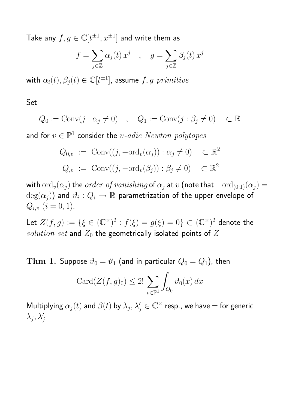Take any  $f,g\in \mathbb C[t^{\pm 1},x^{\pm 1}]$  and write them as

$$
f = \sum_{j \in \mathbb{Z}} \alpha_j(t) x^j \quad , \quad g = \sum_{j \in \mathbb{Z}} \beta_j(t) x^j
$$

with  $\alpha_i(t), \beta_j(t) \in \mathbb C[t^{\pm 1}]$ , assume  $f,g$   $primitive$ 

Set

$$
Q_0 := \text{Conv}(j : \alpha_j \neq 0) \quad , \quad Q_1 := \text{Conv}(j : \beta_j \neq 0) \quad \subset \mathbb{R}
$$

and for  $v\in {\mathbb P}^1$  consider the  $v\text{-}adic\,\,Newton\,\,polytopes$ 

$$
Q_{0,v} := \text{Conv}((j, -\text{ord}_v(\alpha_j)) : \alpha_j \neq 0) \subset \mathbb{R}^2
$$
  

$$
Q_{,v} := \text{Conv}((j, -\text{ord}_v(\beta_j)) : \beta_j \neq 0) \subset \mathbb{R}^2
$$

with  $\text{ord}_v(\alpha_j)$  the *order of vanishing* of  $\alpha_j$  at v (note that  $-\text{ord}_{(0:1)}(\alpha_j)$  =  $\deg(\alpha_j))$  and  $\vartheta_i:Q_i\to\mathbb{R}$  parametrization of the upper envelope of  $Q_{i,v}$   $(i = 0, 1)$ .

Let  $Z(f,g):=\{\xi\in(\mathbb{C}^\times)^2:f(\xi)=g(\xi)=0\}\subset(\mathbb{C}^\times)^2$  denote the solution set and  $Z_0$  the geometrically isolated points of  $Z$ 

Thm 1. Suppose  $\vartheta_0 = \vartheta_1$  (and in particular  $Q_0 = Q_1$ ), then

$$
\operatorname{Card}(Z(f,g)_0)\leq 2!\,\sum_{v\in\mathbb{P}^1}\int_{Q_0}\vartheta_0(x)\,dx
$$

Multiplying  $\alpha_j(t)$  and  $\beta(t)$  by  $\lambda_j,\lambda'_j\in\mathbb{C}^\times$  resp., we have  $=$  for generic  $\lambda_j, \lambda'_j$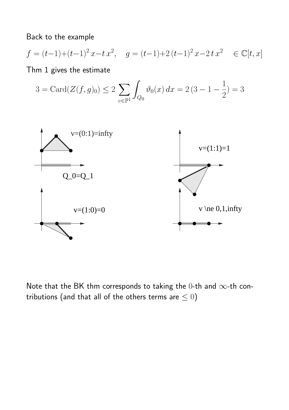Back to the example

$$
f = (t-1)+(t-1)^2 x-t x^2
$$
,  $g = (t-1)+2(t-1)^2 x-2t x^2 \in \mathbb{C}[t, x]$ 

Thm 1 gives the estimate

$$
3=\text{Card}(Z(f,g)_0)\leq 2\,\sum_{v\in \mathbb{P}^1}\int_{Q_0}\vartheta_0(x)\,dx=2\,(3-1-\frac{1}{2})=3
$$



Note that the BK thm corresponds to taking the 0-th and  $\infty$ -th contributions (and that all of the others terms are  $\leq 0$ )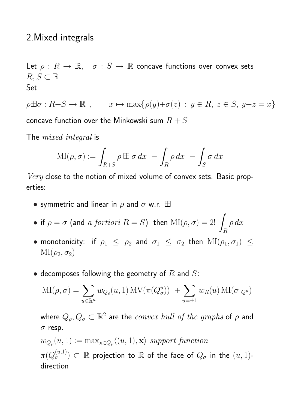## 2.Mixed integrals

Let  $\rho: R \to \mathbb{R}, \quad \sigma: S \to \mathbb{R}$  concave functions over convex sets  $R, S \subset \mathbb{R}$ Set

 $\rho \boxplus \sigma : R + S \to \mathbb{R}$ ,  $x \mapsto \max\{\rho(y) + \sigma(z) : y \in R, z \in S, y+z=x\}$ concave function over the Minkowski sum  $R + S$ 

The *mixed* integral is

$$
\mathrm{MI}(\rho,\sigma) := \int_{R+S} \rho \boxplus \sigma \, dx \ - \int_R \rho \, dx \ - \int_S \sigma \, dx
$$

Very close to the notion of mixed volume of convex sets. Basic properties:

- symmetric and linear in  $\rho$  and  $\sigma$  w.r.  $\boxplus$
- if  $\rho = \sigma$  (and  $\overline{a}$  fortiori  $R = S$ ) then  $\text{MI}(\rho, \sigma) = 2!$ R  $\rho dx$
- monotonicity: if  $\rho_1 \le \rho_2$  and  $\sigma_1 \le \sigma_2$  then  $\text{MI}(\rho_1, \sigma_1) \le$  $\mathrm{MI}(\rho_2, \sigma_2)$
- decomposes following the geometry of  $R$  and  $S$ :

$$
MI(\rho, \sigma) = \sum_{u \in \mathbb{R}^n} w_{Q_\rho}(u, 1) MV(\pi(Q_\sigma^u)) + \sum_{u = \pm 1} w_R(u) MI(\sigma|_{Q^u})
$$

where  $Q_\rho,Q_\sigma\subset\mathbb{R}^2$  are the  $convex\ hull\ of\ the\ graphs$  of  $\rho$  and  $\sigma$  resp.

$$
w_{Q_{\rho}}(u,1) := \max_{\mathbf{x} \in Q_{\rho}} \langle (u,1), \mathbf{x} \rangle \text{ support function}
$$
  

$$
\pi(Q_{\sigma}^{(u,1)}) \subset \mathbb{R} \text{ projection to } \mathbb{R} \text{ of the face of } Q_{\sigma} \text{ in the } (u,1)
$$
-direction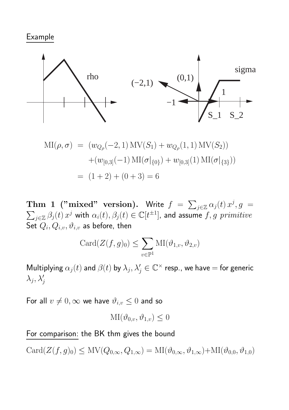#### Example



$$
MI(\rho, \sigma) = (w_{Q_{\rho}}(-2, 1) MV(S_1) + w_{Q_{\rho}}(1, 1) MV(S_2))
$$
  
+
$$
(w_{[0,3]}(-1) MI(\sigma|_{\{0\}}) + w_{[0,3]}(1) MI(\sigma|_{\{3\}}))
$$
  
= 
$$
(1 + 2) + (0 + 3) = 6
$$

Thm 1 ("mixed" version). Write  $f =$  $\overline{ }$  $_{j\in\mathbb{Z}}\alpha_{j}(t)\,x^{j}$  $\overline{P}$  $, g =$  $\beta_{j\in\mathbb{Z}}\,\beta_j(t)\,x^j$  with  $\alpha_i(t),\beta_j(t)\in\mathbb{C}[t^{\pm1}],$  and assume  $f,g$   $\emph{primitive}$ Set  $Q_i, Q_{i,v}, \vartheta_{i,v}$  as before, then

$$
Card(Z(f,g)_0) \le \sum_{v \in \mathbb{P}^1} MI(\vartheta_{1,v}, \vartheta_{2,v})
$$

Multiplying  $\alpha_j(t)$  and  $\beta(t)$  by  $\lambda_j, \lambda'_j \in \mathbb{C}^\times$  resp., we have  $=$  for generic  $\lambda_j, \lambda'_j$ 

For all  $v \neq 0$ ,  $\infty$  we have  $\vartheta_{i,v} \leq 0$  and so

$$
\mathrm{MI}(\vartheta_{0,v}, \vartheta_{1,v}) \le 0
$$

For comparison: the BK thm gives the bound

 $Card(Z(f,g)_0)\leq MV(Q_{0,\infty},Q_{1,\infty})=MI(\vartheta_{0,\infty},\vartheta_{1,\infty})+MI(\vartheta_{0,0},\vartheta_{1,0})$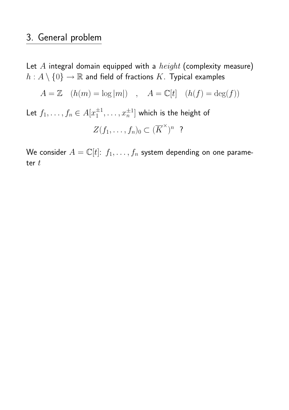# 3. General problem

Let  $A$  integral domain equipped with a  $height$  (complexity measure)  $h: A\setminus\{0\}\to\mathbb{R}$  and field of fractions  $K.$  Typical examples

$$
A = \mathbb{Z} \quad (h(m) = \log|m|) \quad , \quad A = \mathbb{C}[t] \quad (h(f) = \deg(f))
$$

Let  $f_1, \ldots, f_n \in A[x_1^{\pm 1}]$  $\{\pm 1, \ldots, x_n^{\pm 1}]\}$  which is the height of  $Z(f_1,\ldots,f_n)_0\subset (\overline{K}^{\times})^n$  ?

We consider  $A = \mathbb{C}[t]$ :  $f_1, \ldots, f_n$  system depending on one parameter  $t$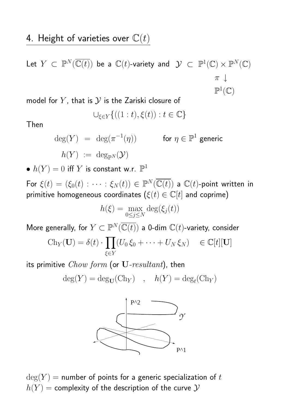Let 
$$
Y \subset \mathbb{P}^N(\overline{\mathbb{C}(t)})
$$
 be a  $\mathbb{C}(t)$ -variety and  $\mathcal{Y} \subset \mathbb{P}^1(\mathbb{C}) \times \mathbb{P}^N(\mathbb{C})$   
 $\pi \downarrow$   
 $\mathbb{P}^1(\mathbb{C})$ 

model for  $Y$ , that is  $Y$  is the Zariski closure of

$$
\cup_{\xi \in Y} \{((1:t), \xi(t)) : t \in \mathbb{C}\}
$$

Then

$$
\deg(Y) = \deg(\pi^{-1}(\eta)) \qquad \text{for } \eta \in \mathbb{P}^1 \text{ generic}
$$
  

$$
h(Y) := \deg_{\mathbb{P}^N}(\mathcal{Y})
$$

 $\bullet~h(Y)=0$  iff  $Y$  is constant w.r.  $\mathbb{P}^1$ 

For  $\xi(t)=(\xi_0(t):\cdots:\xi_N(t))\in \mathbb P^N(\overline{\mathbb C(t)})$  a  $\mathbb C(t)$ -point written in primitive homogeneous coordinates  $(\xi(t) \in \mathbb{C}[t]$  and coprime)

$$
h(\xi) = \max_{0 \le j \le N} \deg(\xi_j(t))
$$

More generally, for  $Y \subset \mathbb{P}^N(\overline{\mathbb{C}(t)})$  a 0-dim  $\mathbb{C}(t)$ -variety, consider  $\frac{1}{1+t}$ 

$$
Ch_Y(\mathbf{U}) = \delta(t) \cdot \prod_{\xi \in Y} (U_0 \xi_0 + \dots + U_N \xi_N) \quad \in \mathbb{C}[t][\mathbf{U}]
$$

its primitive  $Chow\ form$  (or  $U\text{-}resultant$ ), then

$$
deg(Y) = deg_{\mathbf{U}}(Ch_Y) , h(Y) = deg_t(Ch_Y)
$$



 $deg(Y)$  = number of points for a generic specialization of t  $h(Y)$  = complexity of the description of the curve  $Y$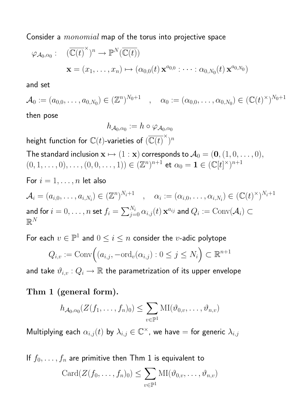Consider a *monomial* map of the torus into projective space

$$
\varphi_{\mathcal{A}_0,\alpha_0}: (\overline{\mathbb{C}(t)}^{\times})^n \to \mathbb{P}^N(\overline{\mathbb{C}(t)})
$$

$$
\mathbf{x} = (x_1,\ldots,x_n) \mapsto (\alpha_{0,0}(t) \mathbf{x}^{a_{0,0}}: \cdots : \alpha_{0,N_0}(t) \mathbf{x}^{a_{0,N_0}})
$$

and set

 $\mathcal{A}_0 := (a_{0,0},\ldots,a_{0,N_0}) \in (\mathbb{Z}^n)^{N_0+1} \quad , \quad \alpha_0 := (\alpha_{0,0},\ldots,\alpha_{0,N_0}) \in (\mathbb{C}(t)^\times)^{N_0+1}$ 

then pose

$$
h_{\mathcal{A}_0,\alpha_0}:=h\circ\varphi_{\mathcal{A}_0,\alpha_0}
$$

height function for  $\mathbb C(t)$ -varieties of  $(\overline{\mathbb C(t)}^\times)^n$ 

The standard inclusion  $\mathbf{x} \mapsto (1 : \mathbf{x})$  corresponds to  $\mathcal{A}_0 = (\mathbf{0}, (1, 0, \dots, 0),$  $(0, 1, \ldots, 0), \ldots, (0, 0, \ldots, 1)) \in (\mathbb{Z}^n)^{n+1}$  et  $\alpha_0 = \mathbf{1} \in (\mathbb{C}[t]^{\times})^{n+1}$ 

For  $i = 1, \ldots, n$  let also

$$
\mathcal{A}_i = (a_{i,0}, \dots, a_{i,N_i}) \in (\mathbb{Z}^n)^{N_i+1} \quad , \quad \alpha_i := (\alpha_{i,0}, \dots, \alpha_{i,N_i}) \in (\mathbb{C}(t)^{\times})^{N_i+1}
$$
  
and for  $i = 0, \dots, n$  set  $f_i = \sum_{j=0}^{N_i} \alpha_{i,j}(t) \mathbf{x}^{a_{ij}}$  and  $Q_i := \text{Conv}(\mathcal{A}_i) \subset \mathbb{R}^N$ 

For each  $v \in \mathbb{P}^1$  and  $0 \leq i \leq n$  consider the  $v$ -adic polytope '<br>`

$$
Q_{i,v} := \text{Conv}\Big((a_{i,j}, -\text{ord}_v(\alpha_{i,j}) : 0 \le j \le N_i\Big) \subset \mathbb{R}^{n+1}
$$

and take  $\vartheta_{i,v}: Q_i \to \mathbb{R}$  the parametrization of its upper envelope

Thm 1 (general form).

$$
h_{\mathcal{A}_0,\alpha_0}(Z(f_1,\ldots,f_n)_0) \leq \sum_{v \in \mathbb{P}^1} \mathrm{MI}(\vartheta_{0,v},\ldots,\vartheta_{n,v})
$$

Multiplying each  $\alpha_{i,j}(t)$  by  $\lambda_{i,j}\in \mathbb{C}^{\times}$ , we have  $=$  for generic  $\lambda_{i,j}$ 

If  $f_0,\ldots,f_n$  are primitive then Thm  $1$  is equivalent to  $\overline{\phantom{a}}$ 

$$
Card(Z(f_0,\ldots,f_n)_0)\leq \sum_{v\in\mathbb{P}^1}MI(\vartheta_{0,v},\ldots,\vartheta_{n,v})
$$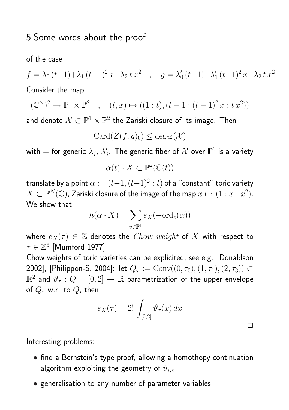of the case

$$
f = \lambda_0 (t-1) + \lambda_1 (t-1)^2 x + \lambda_2 t x^2 \quad , \quad g = \lambda'_0 (t-1) + \lambda'_1 (t-1)^2 x + \lambda_2 t x^2
$$

Consider the map

$$
(\mathbb{C}^{\times})^2 \to \mathbb{P}^1 \times \mathbb{P}^2 \quad , \quad (t, x) \mapsto ((1 : t), (t - 1 : (t - 1)^2 x : t x^2))
$$

and denote  $\mathcal{X} \subset \mathbb{P}^1 \times \mathbb{P}^2$  the Zariski closure of its image. Then

$$
\mathrm{Card}(Z(f,g)_0)\leq \deg_{\mathbb{P}^2}(\mathcal{X})
$$

with  $=$  for generic  $\lambda_j$ ,  $\lambda'_j$  $\zeta_j.$  The generic fiber of  $\mathcal X$  over  $\mathbb P^1$  is a variety

$$
\alpha(t)\cdot X\subset \mathbb{P}^2(\overline{\mathbb{C}(t)})
$$

translate by a point  $\alpha := (t{-}1,(t{-}1)^2:t)$  of a "constant" toric variety  $X \subset \mathbb P^N(\mathbb C)$ , Zariski closure of the image of the map  $x \mapsto (1 : x : x^2).$ We show that

$$
h(\alpha \cdot X) = \sum_{v \in \mathbb{P}^1} e_X(-\text{ord}_v(\alpha))
$$

where  $e_X(\tau) \in \mathbb{Z}$  denotes the *Chow weight* of X with respect to  $\tau \in \mathbb{Z}^3$  [Mumford 1977]

Chow weights of toric varieties can be explicited, see e.g. [Donaldson 2002], [Philippon-S. 2004]: let  $Q_\tau:=\mathrm{Conv}((0,\tau_0),(1,\tau_1),(2,\tau_3))\subset$  $\mathbb{R}^2$  and  $\vartheta_\tau:Q=[0,2]\to\mathbb{R}$  parametrization of the upper envelope of  $Q_{\tau}$  w.r. to  $Q$ , then

$$
e_X(\tau) = 2! \int_{[0,2]} \vartheta_\tau(x) \, dx
$$

 $\Box$ 

Interesting problems:

- find a Bernstein's type proof, allowing a homothopy continuation algorithm exploiting the geometry of  $\vartheta_{i,v}$
- generalisation to any number of parameter variables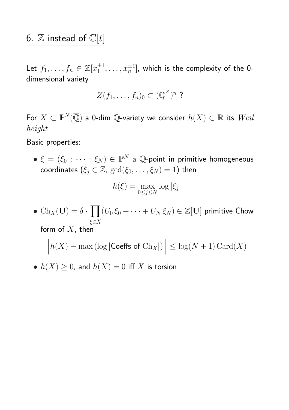### 6.  $\mathbb Z$  instead of  $\mathbb C[t]$

Let  $f_1, \ldots, f_n \in \mathbb{Z}[x_1^{\pm 1}]$  $\mathcal{I}_{1}^{\pm 1},\ldots, x_{n}^{\pm 1}].$  which is the complexity of the 0dimensional variety

$$
Z(f_1,\ldots,f_n)_0\subset (\overline{\mathbb{Q}}^{\times})^n
$$
?

For  $X\subset \mathbb P^N(\overline{\mathbb Q})$  a 0-dim  $\mathbb Q$ -variety we consider  $h(X)\in \mathbb R$  its  $Weil$ height

Basic properties:

 $\bullet\; \xi\,=\,(\xi_0\,:\,\cdots\,:\,\xi_N)\,\in\,{\mathbb P}^N\;$  a  $\,{\mathbb Q}$ -point in primitive homogeneous coordinates  $(\xi_i \in \mathbb{Z}, \text{ gcd}(\xi_0, \ldots, \xi_N) = 1)$  then

$$
h(\xi) = \max_{0 \le j \le N} \log |\xi_j|
$$

• Ch<sub>*X*</sub>(**U**) =  $\delta$  ·  $\overline{y}$ ξ $∈X$  $(U_0\,\xi_0+\cdots+U_N\,\xi_N)\in\mathbb{Z}[\mathbf{U}]$  primitive Chow form of  $X$ , then

¯  $\begin{matrix} \phantom{-} \\ \phantom{-} \end{matrix}$  $|h(X) - \max(\log|\textsf{Coeffs of } \text{Ch}_X|)$  $\frac{1}{1}$  $\begin{array}{c} \hline \end{array}$  $\vert \leq \log(N+1)$  Card $(X)$ 

•  $h(X) \geq 0$ , and  $h(X) = 0$  iff X is torsion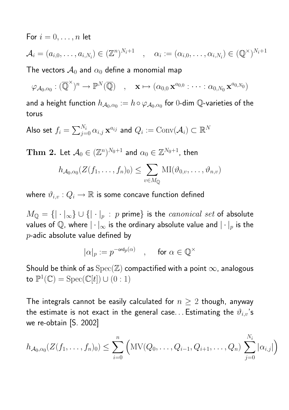For  $i = 0, \ldots, n$  let

$$
\mathcal{A}_i = (a_{i,0},\ldots,a_{i,N_i}) \in (\mathbb{Z}^n)^{N_i+1} \quad , \quad \alpha_i := (\alpha_{i,0},\ldots,\alpha_{i,N_i}) \in (\mathbb{Q}^{\times})^{N_i+1}
$$

The vectors  $\mathcal{A}_0$  and  $\alpha_0$  define a monomial map

$$
\varphi_{A_0,\alpha_0}: (\overline{\mathbb{Q}}^{\times})^n \to \mathbb{P}^N(\overline{\mathbb{Q}}) \quad , \quad \mathbf{x} \mapsto (\alpha_{0,0} \mathbf{x}^{a_{0,0}} : \cdots : \alpha_{0,N_0} \mathbf{x}^{a_{0,N_0}})
$$

and a height function  $h_{\mathcal A_0,\alpha_0}:=h\circ\varphi_{\mathcal A_0,\alpha_0}$  for  $0$ -dim  $\mathbb Q$ -varieties of the torus

Also set  $f_i =$  $\sum_{i} N_i$  $\sum\limits_{j=0}^{N_i}\alpha_{i,j}\,\mathbf{x}^{a_{ij}}$  and  $Q_i:={\rm Conv}(\mathcal{A}_i)\subset\mathbb{R}^N$ 

 $\mathbf{Thm}$   $\mathbf{2.}$  Let  $\mathcal{A}_{0} \in (\mathbb{Z}^{n})^{N_{0}+1}$  and  $\alpha_{0} \in \mathbb{Z}^{N_{0}+1}$ , then  $\overline{\phantom{a}}$ 

$$
h_{\mathcal{A}_0,\alpha_0}(Z(f_1,\ldots,f_n)_0) \leq \sum_{v \in M_{\mathbb{Q}}} \mathrm{MI}(\vartheta_{0,v},\ldots,\vartheta_{n,v})
$$

where  $\vartheta_{i,v}: Q_i \to \mathbb{R}$  is some concave function defined

 $M_{\mathbb{Q}} = \{ |\cdot|_{\infty} \} \cup \{ |\cdot|_{p} : p \text{ prime} \}$  is the *canonical set* of absolute values of Q, where  $|\cdot|_{\infty}$  is the ordinary absolute value and  $|\cdot|_p$  is the  $p$ -adic absolute value defined by

$$
|\alpha|_p:=p^{-{\rm ord}_p(\alpha)}\quad,\quad\text{ for }\alpha\in\mathbb{Q}^\times
$$

Should be think of as  $Spec(\mathbb{Z})$  compactified with a point  $\infty$ , analogous to  $\mathbb{P}^1(\mathbb{C}) = \text{Spec}(\mathbb{C}[t]) \cup (0:1)$ 

The integrals cannot be easily calculated for  $n \geq 2$  though, anyway the estimate is not exact in the general case... Estimating the  $\vartheta_{i,v}$ 's we re-obtain [S. 2002]

$$
h_{\mathcal{A}_0,\alpha_0}(Z(f_1,\ldots,f_n)_0) \leq \sum_{i=0}^n \left( MV(Q_0,\ldots,Q_{i-1},Q_{i+1},\ldots,Q_n) \sum_{j=0}^{N_i} |\alpha_{i,j}|\right)
$$